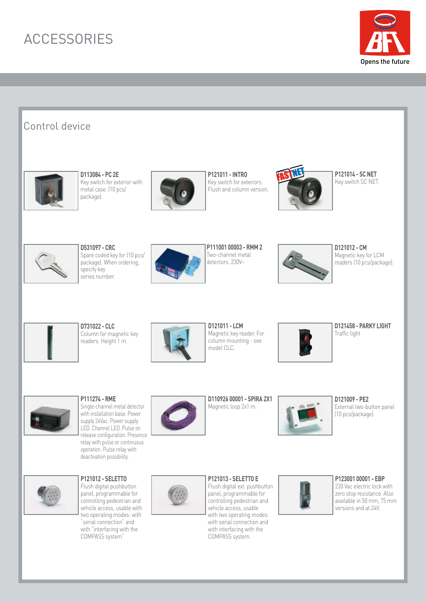## ACCESSORIES



## Control device



**D113084 - PC 2E** Key switch for exterior with metal case. (10 pcs/ package).



**P121011 - INTRO** Key switch for exteriors. Flush and column version.



**P121014 - SC NET PIZIUI4 - SUNET**<br>Key switch SC NET.



**D531097 - CRC** Spare coded key for (10 pcs/ package). When ordering, specify key series number.



**P111001 00003 - RMM 2** Two-channel metal detectors. 230V~



**D121012 - CM** Magnetic key for LCM readers (10 pcs/package).



**D731022 - CLC** Column for magnetic key readers. Height 1 m.



**D121011 - LCM** Magnetic key reader. For column mounting - see model CLC.



**D121458 - PARKY LIGHT** Traffic light



**P111274 - RME** Single-channel metal detector with installation base. Power supply 24Vac. Power supply LED. Channel LED. Pulse on release configuration. Presence relay with pulse or continuous operation. Pulse relay with deactivation possibility.



**D110926 00001 - SPIRA 2X1** Magnetic loop 2x1 m.



**D121009 - PE2** External two-button panel (10 pcs/package).



**P121012 - SELETTO** Flush digital pushbutton

panel, programmable for controlling pedestrian and vehicle access, usable with two operating modes: with "serial connection" and with "interfacing with the COMPASS system"



**P121013 - SELETTO E** Flush digital ext. pushbutton panel, programmable for controlling pedestrian and vehicle access, usable with two operating modes: with serial connection and with interfacing with the COMPASS system.



**P123001 00001 - EBP** 230 Vac electric lock with

zero stop resistance. Also available in 50 mm, 75 mm versions and at 24V.